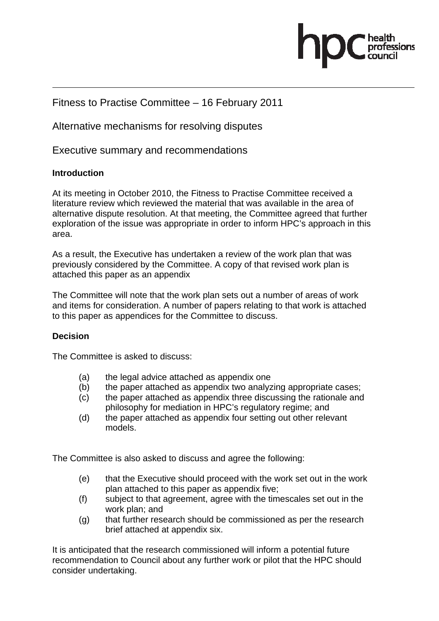

#### Fitness to Practise Committee – 16 February 2011

Alternative mechanisms for resolving disputes

Executive summary and recommendations

#### **Introduction**

At its meeting in October 2010, the Fitness to Practise Committee received a literature review which reviewed the material that was available in the area of alternative dispute resolution. At that meeting, the Committee agreed that further exploration of the issue was appropriate in order to inform HPC's approach in this area.

As a result, the Executive has undertaken a review of the work plan that was previously considered by the Committee. A copy of that revised work plan is attached this paper as an appendix

The Committee will note that the work plan sets out a number of areas of work and items for consideration. A number of papers relating to that work is attached to this paper as appendices for the Committee to discuss.

#### **Decision**

The Committee is asked to discuss:

- (a) the legal advice attached as appendix one
- (b) the paper attached as appendix two analyzing appropriate cases;
- (c) the paper attached as appendix three discussing the rationale and philosophy for mediation in HPC's regulatory regime; and
- (d) the paper attached as appendix four setting out other relevant models.

The Committee is also asked to discuss and agree the following:

- (e) that the Executive should proceed with the work set out in the work plan attached to this paper as appendix five;
- (f) subject to that agreement, agree with the timescales set out in the work plan; and
- (g) that further research should be commissioned as per the research brief attached at appendix six.

It is anticipated that the research commissioned will inform a potential future recommendation to Council about any further work or pilot that the HPC should consider undertaking.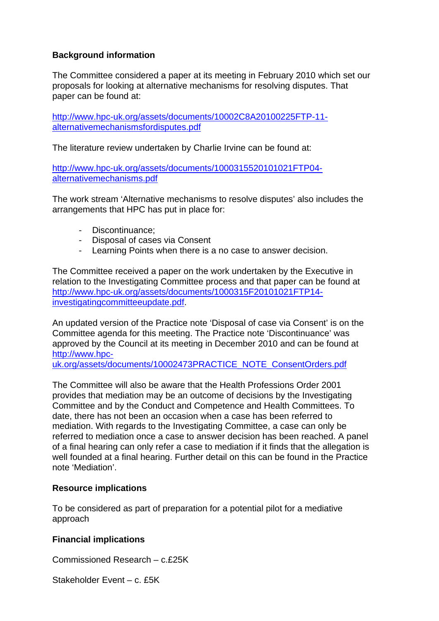#### **Background information**

The Committee considered a paper at its meeting in February 2010 which set our proposals for looking at alternative mechanisms for resolving disputes. That paper can be found at:

http://www.hpc-uk.org/assets/documents/10002C8A20100225FTP-11 alternativemechanismsfordisputes.pdf

The literature review undertaken by Charlie Irvine can be found at:

http://www.hpc-uk.org/assets/documents/1000315520101021FTP04 alternativemechanisms.pdf

The work stream 'Alternative mechanisms to resolve disputes' also includes the arrangements that HPC has put in place for:

- Discontinuance;
- Disposal of cases via Consent
- Learning Points when there is a no case to answer decision.

The Committee received a paper on the work undertaken by the Executive in relation to the Investigating Committee process and that paper can be found at http://www.hpc-uk.org/assets/documents/1000315F20101021FTP14 investigatingcommitteeupdate.pdf.

An updated version of the Practice note 'Disposal of case via Consent' is on the Committee agenda for this meeting. The Practice note 'Discontinuance' was approved by the Council at its meeting in December 2010 and can be found at http://www.hpc-

uk.org/assets/documents/10002473PRACTICE\_NOTE\_ConsentOrders.pdf

The Committee will also be aware that the Health Professions Order 2001 provides that mediation may be an outcome of decisions by the Investigating Committee and by the Conduct and Competence and Health Committees. To date, there has not been an occasion when a case has been referred to mediation. With regards to the Investigating Committee, a case can only be referred to mediation once a case to answer decision has been reached. A panel of a final hearing can only refer a case to mediation if it finds that the allegation is well founded at a final hearing. Further detail on this can be found in the Practice note 'Mediation'.

#### **Resource implications**

To be considered as part of preparation for a potential pilot for a mediative approach

#### **Financial implications**

Commissioned Research – c.£25K

Stakeholder Event – c. £5K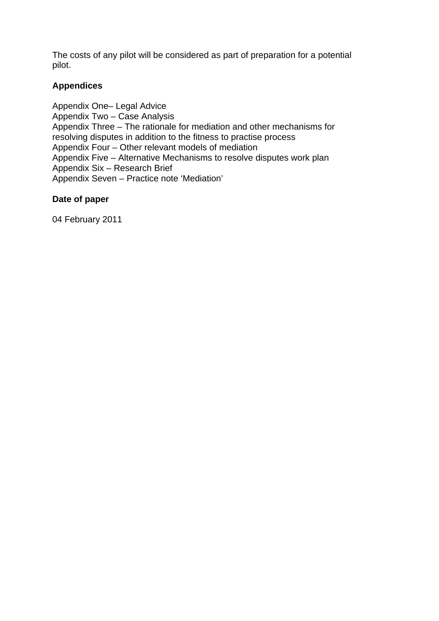The costs of any pilot will be considered as part of preparation for a potential pilot.

#### **Appendices**

Appendix One– Legal Advice Appendix Two – Case Analysis Appendix Three – The rationale for mediation and other mechanisms for resolving disputes in addition to the fitness to practise process Appendix Four – Other relevant models of mediation Appendix Five – Alternative Mechanisms to resolve disputes work plan Appendix Six – Research Brief Appendix Seven – Practice note 'Mediation'

#### **Date of paper**

04 February 2011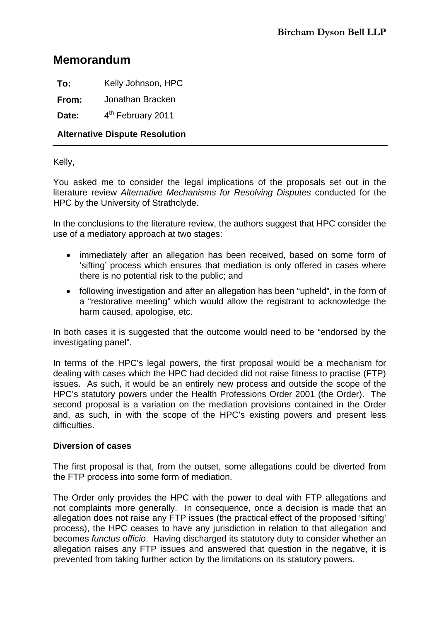#### **Memorandum**

**To:** Kelly Johnson, HPC

**From:** Jonathan Bracken

Date:  $4^{th}$  February 2011

#### **Alternative Dispute Resolution**

Kelly,

You asked me to consider the legal implications of the proposals set out in the literature review *Alternative Mechanisms for Resolving Disputes* conducted for the HPC by the University of Strathclyde.

In the conclusions to the literature review, the authors suggest that HPC consider the use of a mediatory approach at two stages:

- immediately after an allegation has been received, based on some form of 'sifting' process which ensures that mediation is only offered in cases where there is no potential risk to the public; and
- following investigation and after an allegation has been "upheld", in the form of a "restorative meeting" which would allow the registrant to acknowledge the harm caused, apologise, etc.

In both cases it is suggested that the outcome would need to be "endorsed by the investigating panel".

In terms of the HPC's legal powers, the first proposal would be a mechanism for dealing with cases which the HPC had decided did not raise fitness to practise (FTP) issues. As such, it would be an entirely new process and outside the scope of the HPC's statutory powers under the Health Professions Order 2001 (the Order). The second proposal is a variation on the mediation provisions contained in the Order and, as such, in with the scope of the HPC's existing powers and present less difficulties

#### **Diversion of cases**

The first proposal is that, from the outset, some allegations could be diverted from the FTP process into some form of mediation.

The Order only provides the HPC with the power to deal with FTP allegations and not complaints more generally. In consequence, once a decision is made that an allegation does not raise any FTP issues (the practical effect of the proposed 'sifting' process), the HPC ceases to have any jurisdiction in relation to that allegation and becomes *functus officio*. Having discharged its statutory duty to consider whether an allegation raises any FTP issues and answered that question in the negative, it is prevented from taking further action by the limitations on its statutory powers.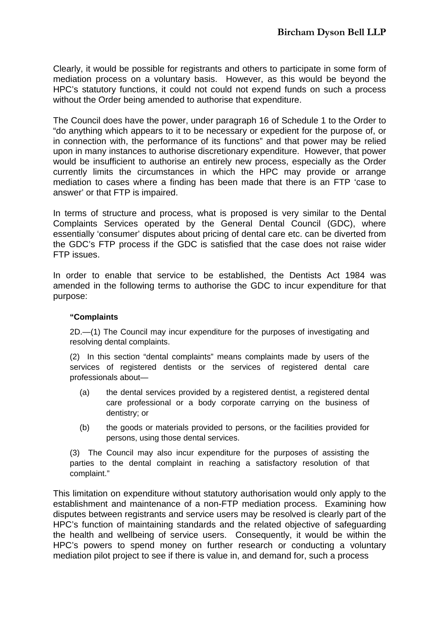Clearly, it would be possible for registrants and others to participate in some form of mediation process on a voluntary basis. However, as this would be beyond the HPC's statutory functions, it could not could not expend funds on such a process without the Order being amended to authorise that expenditure.

The Council does have the power, under paragraph 16 of Schedule 1 to the Order to "do anything which appears to it to be necessary or expedient for the purpose of, or in connection with, the performance of its functions" and that power may be relied upon in many instances to authorise discretionary expenditure. However, that power would be insufficient to authorise an entirely new process, especially as the Order currently limits the circumstances in which the HPC may provide or arrange mediation to cases where a finding has been made that there is an FTP 'case to answer' or that FTP is impaired.

In terms of structure and process, what is proposed is very similar to the Dental Complaints Services operated by the General Dental Council (GDC), where essentially 'consumer' disputes about pricing of dental care etc. can be diverted from the GDC's FTP process if the GDC is satisfied that the case does not raise wider FTP issues.

In order to enable that service to be established, the Dentists Act 1984 was amended in the following terms to authorise the GDC to incur expenditure for that purpose:

#### **"Complaints**

2D.—(1) The Council may incur expenditure for the purposes of investigating and resolving dental complaints.

(2) In this section "dental complaints" means complaints made by users of the services of registered dentists or the services of registered dental care professionals about—

- (a) the dental services provided by a registered dentist, a registered dental care professional or a body corporate carrying on the business of dentistry; or
- (b) the goods or materials provided to persons, or the facilities provided for persons, using those dental services.

(3) The Council may also incur expenditure for the purposes of assisting the parties to the dental complaint in reaching a satisfactory resolution of that complaint."

This limitation on expenditure without statutory authorisation would only apply to the establishment and maintenance of a non-FTP mediation process. Examining how disputes between registrants and service users may be resolved is clearly part of the HPC's function of maintaining standards and the related objective of safeguarding the health and wellbeing of service users. Consequently, it would be within the HPC's powers to spend money on further research or conducting a voluntary mediation pilot project to see if there is value in, and demand for, such a process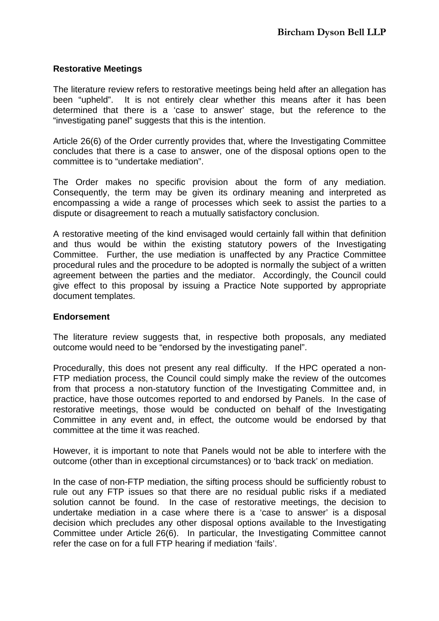#### **Restorative Meetings**

The literature review refers to restorative meetings being held after an allegation has been "upheld". It is not entirely clear whether this means after it has been determined that there is a 'case to answer' stage, but the reference to the "investigating panel" suggests that this is the intention.

Article 26(6) of the Order currently provides that, where the Investigating Committee concludes that there is a case to answer, one of the disposal options open to the committee is to "undertake mediation".

The Order makes no specific provision about the form of any mediation. Consequently, the term may be given its ordinary meaning and interpreted as encompassing a wide a range of processes which seek to assist the parties to a dispute or disagreement to reach a mutually satisfactory conclusion.

A restorative meeting of the kind envisaged would certainly fall within that definition and thus would be within the existing statutory powers of the Investigating Committee. Further, the use mediation is unaffected by any Practice Committee procedural rules and the procedure to be adopted is normally the subject of a written agreement between the parties and the mediator. Accordingly, the Council could give effect to this proposal by issuing a Practice Note supported by appropriate document templates.

#### **Endorsement**

The literature review suggests that, in respective both proposals, any mediated outcome would need to be "endorsed by the investigating panel".

Procedurally, this does not present any real difficulty. If the HPC operated a non-FTP mediation process, the Council could simply make the review of the outcomes from that process a non-statutory function of the Investigating Committee and, in practice, have those outcomes reported to and endorsed by Panels. In the case of restorative meetings, those would be conducted on behalf of the Investigating Committee in any event and, in effect, the outcome would be endorsed by that committee at the time it was reached.

However, it is important to note that Panels would not be able to interfere with the outcome (other than in exceptional circumstances) or to 'back track' on mediation.

In the case of non-FTP mediation, the sifting process should be sufficiently robust to rule out any FTP issues so that there are no residual public risks if a mediated solution cannot be found. In the case of restorative meetings, the decision to undertake mediation in a case where there is a 'case to answer' is a disposal decision which precludes any other disposal options available to the Investigating Committee under Article 26(6). In particular, the Investigating Committee cannot refer the case on for a full FTP hearing if mediation 'fails'.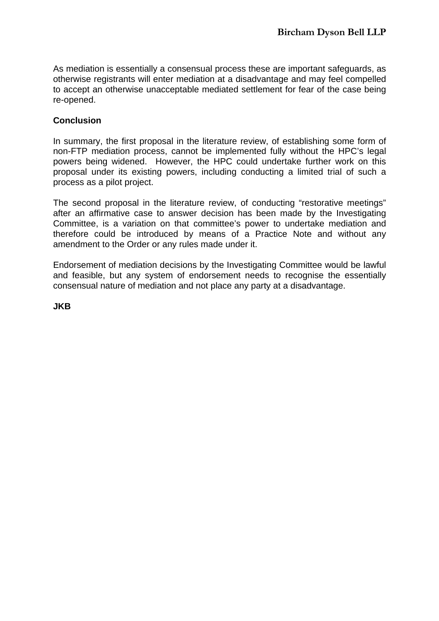As mediation is essentially a consensual process these are important safeguards, as otherwise registrants will enter mediation at a disadvantage and may feel compelled to accept an otherwise unacceptable mediated settlement for fear of the case being re-opened.

#### **Conclusion**

In summary, the first proposal in the literature review, of establishing some form of non-FTP mediation process, cannot be implemented fully without the HPC's legal powers being widened. However, the HPC could undertake further work on this proposal under its existing powers, including conducting a limited trial of such a process as a pilot project.

The second proposal in the literature review, of conducting "restorative meetings" after an affirmative case to answer decision has been made by the Investigating Committee, is a variation on that committee's power to undertake mediation and therefore could be introduced by means of a Practice Note and without any amendment to the Order or any rules made under it.

Endorsement of mediation decisions by the Investigating Committee would be lawful and feasible, but any system of endorsement needs to recognise the essentially consensual nature of mediation and not place any party at a disadvantage.

**JKB**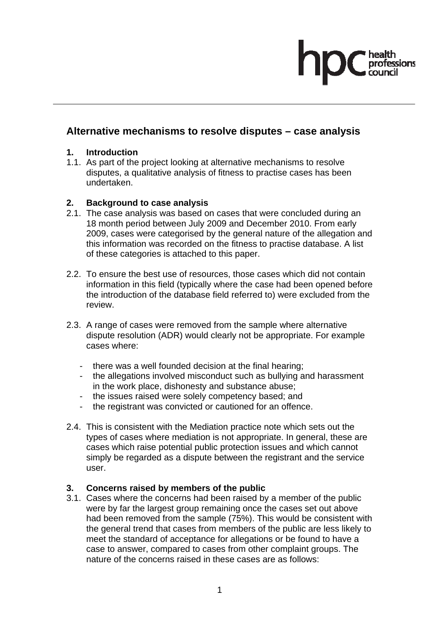# fessions

#### **Alternative mechanisms to resolve disputes – case analysis**

#### **1. Introduction**

1.1. As part of the project looking at alternative mechanisms to resolve disputes, a qualitative analysis of fitness to practise cases has been undertaken.

#### **2. Background to case analysis**

- 2.1. The case analysis was based on cases that were concluded during an 18 month period between July 2009 and December 2010. From early 2009, cases were categorised by the general nature of the allegation and this information was recorded on the fitness to practise database. A list of these categories is attached to this paper.
- 2.2. To ensure the best use of resources, those cases which did not contain information in this field (typically where the case had been opened before the introduction of the database field referred to) were excluded from the review.
- 2.3. A range of cases were removed from the sample where alternative dispute resolution (ADR) would clearly not be appropriate. For example cases where:
	- there was a well founded decision at the final hearing;
	- the allegations involved misconduct such as bullying and harassment in the work place, dishonesty and substance abuse;
	- the issues raised were solely competency based; and
	- the registrant was convicted or cautioned for an offence.
- 2.4. This is consistent with the Mediation practice note which sets out the types of cases where mediation is not appropriate. In general, these are cases which raise potential public protection issues and which cannot simply be regarded as a dispute between the registrant and the service user.

#### **3. Concerns raised by members of the public**

3.1. Cases where the concerns had been raised by a member of the public were by far the largest group remaining once the cases set out above had been removed from the sample (75%). This would be consistent with the general trend that cases from members of the public are less likely to meet the standard of acceptance for allegations or be found to have a case to answer, compared to cases from other complaint groups. The nature of the concerns raised in these cases are as follows: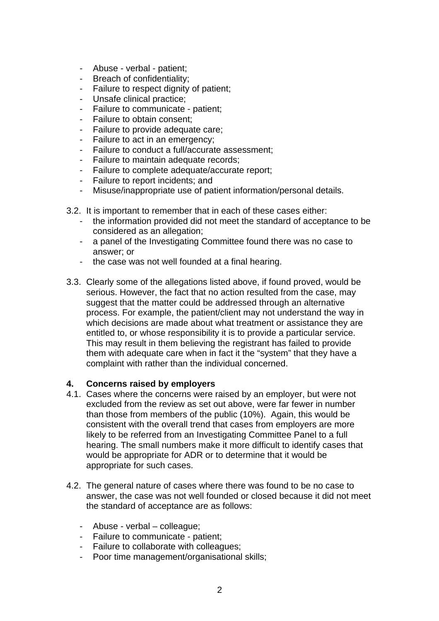- Abuse verbal patient;
- Breach of confidentiality;
- Failure to respect dignity of patient;
- Unsafe clinical practice;
- Failure to communicate patient;
- Failure to obtain consent;
- Failure to provide adequate care;
- Failure to act in an emergency;
- Failure to conduct a full/accurate assessment:
- Failure to maintain adequate records;
- Failure to complete adequate/accurate report;
- Failure to report incidents; and
- Misuse/inappropriate use of patient information/personal details.
- 3.2. It is important to remember that in each of these cases either:
	- the information provided did not meet the standard of acceptance to be considered as an allegation;
	- a panel of the Investigating Committee found there was no case to answer; or
	- the case was not well founded at a final hearing.
- 3.3. Clearly some of the allegations listed above, if found proved, would be serious. However, the fact that no action resulted from the case, may suggest that the matter could be addressed through an alternative process. For example, the patient/client may not understand the way in which decisions are made about what treatment or assistance they are entitled to, or whose responsibility it is to provide a particular service. This may result in them believing the registrant has failed to provide them with adequate care when in fact it the "system" that they have a complaint with rather than the individual concerned.

#### **4. Concerns raised by employers**

- 4.1. Cases where the concerns were raised by an employer, but were not excluded from the review as set out above, were far fewer in number than those from members of the public (10%). Again, this would be consistent with the overall trend that cases from employers are more likely to be referred from an Investigating Committee Panel to a full hearing. The small numbers make it more difficult to identify cases that would be appropriate for ADR or to determine that it would be appropriate for such cases.
- 4.2. The general nature of cases where there was found to be no case to answer, the case was not well founded or closed because it did not meet the standard of acceptance are as follows:
	- Abuse verbal colleague;
	- Failure to communicate patient;
	- Failure to collaborate with colleagues;
	- Poor time management/organisational skills;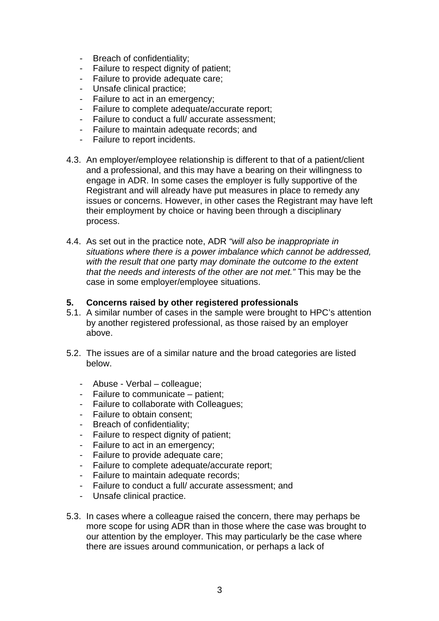- Breach of confidentiality;
- Failure to respect dignity of patient;
- Failure to provide adequate care;
- Unsafe clinical practice;
- Failure to act in an emergency;
- Failure to complete adequate/accurate report;
- Failure to conduct a full/ accurate assessment;
- Failure to maintain adequate records; and
- Failure to report incidents.
- 4.3. An employer/employee relationship is different to that of a patient/client and a professional, and this may have a bearing on their willingness to engage in ADR. In some cases the employer is fully supportive of the Registrant and will already have put measures in place to remedy any issues or concerns. However, in other cases the Registrant may have left their employment by choice or having been through a disciplinary process.
- 4.4. As set out in the practice note, ADR *"will also be inappropriate in situations where there is a power imbalance which cannot be addressed, with the result that one* party *may dominate the outcome to the extent that the needs and interests of the other are not met."* This may be the case in some employer/employee situations.

#### **5. Concerns raised by other registered professionals**

- 5.1. A similar number of cases in the sample were brought to HPC's attention by another registered professional, as those raised by an employer above.
- 5.2. The issues are of a similar nature and the broad categories are listed below.
	- Abuse Verbal colleague;
	- Failure to communicate patient;
	- Failure to collaborate with Colleagues;
	- Failure to obtain consent;
	- Breach of confidentiality;
	- Failure to respect dignity of patient;
	- Failure to act in an emergency;
	- Failure to provide adequate care;
	- Failure to complete adequate/accurate report;
	- Failure to maintain adequate records;
	- Failure to conduct a full/ accurate assessment; and
	- Unsafe clinical practice.
- 5.3. In cases where a colleague raised the concern, there may perhaps be more scope for using ADR than in those where the case was brought to our attention by the employer. This may particularly be the case where there are issues around communication, or perhaps a lack of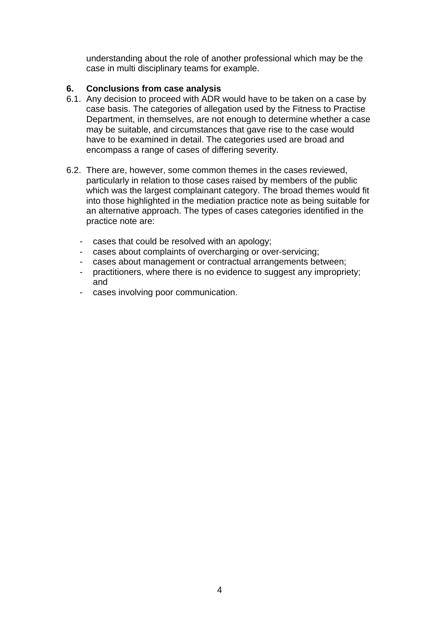understanding about the role of another professional which may be the case in multi disciplinary teams for example.

#### **6. Conclusions from case analysis**

- 6.1. Any decision to proceed with ADR would have to be taken on a case by case basis. The categories of allegation used by the Fitness to Practise Department, in themselves, are not enough to determine whether a case may be suitable, and circumstances that gave rise to the case would have to be examined in detail. The categories used are broad and encompass a range of cases of differing severity.
- 6.2. There are, however, some common themes in the cases reviewed, particularly in relation to those cases raised by members of the public which was the largest complainant category. The broad themes would fit into those highlighted in the mediation practice note as being suitable for an alternative approach. The types of cases categories identified in the practice note are:
	- cases that could be resolved with an apology;
	- cases about complaints of overcharging or over-servicing;
	- cases about management or contractual arrangements between;
	- practitioners, where there is no evidence to suggest any impropriety; and
	- cases involving poor communication.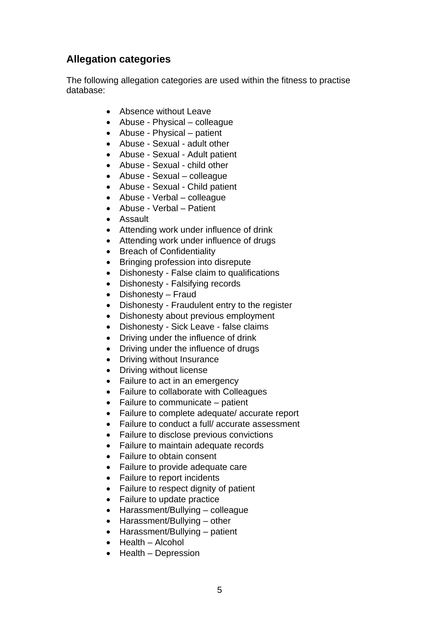#### **Allegation categories**

The following allegation categories are used within the fitness to practise database:

- Absence without Leave
- Abuse Physical colleague
- Abuse Physical patient
- Abuse Sexual adult other
- Abuse Sexual Adult patient
- Abuse Sexual child other
- Abuse Sexual colleague
- Abuse Sexual Child patient
- Abuse Verbal colleague
- Abuse Verbal Patient
- Assault
- Attending work under influence of drink
- Attending work under influence of drugs
- Breach of Confidentiality
- Bringing profession into disrepute
- Dishonesty False claim to qualifications
- Dishonesty Falsifying records
- Dishonesty Fraud
- Dishonesty Fraudulent entry to the register
- Dishonesty about previous employment
- Dishonesty Sick Leave false claims
- Driving under the influence of drink
- Driving under the influence of drugs
- Driving without Insurance
- Driving without license
- Failure to act in an emergency
- Failure to collaborate with Colleagues
- Failure to communicate patient
- Failure to complete adequate/ accurate report
- Failure to conduct a full/ accurate assessment
- Failure to disclose previous convictions
- Failure to maintain adequate records
- Failure to obtain consent
- Failure to provide adequate care
- Failure to report incidents
- Failure to respect dignity of patient
- Failure to update practice
- Harassment/Bullying colleague
- Harassment/Bullying other
- Harassment/Bullying patient
- Health Alcohol
- Health Depression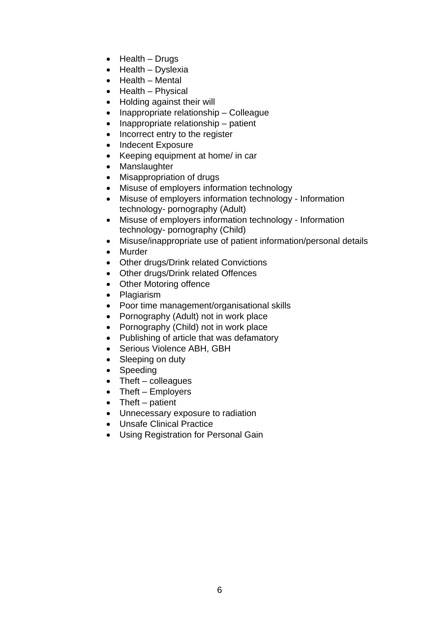- Health Drugs
- Health Dyslexia
- Health Mental
- Health Physical
- Holding against their will
- Inappropriate relationship Colleague
- Inappropriate relationship patient
- Incorrect entry to the register
- Indecent Exposure
- Keeping equipment at home/ in car
- Manslaughter
- Misappropriation of drugs
- Misuse of employers information technology
- Misuse of employers information technology Information technology- pornography (Adult)
- Misuse of employers information technology Information technology- pornography (Child)
- Misuse/inappropriate use of patient information/personal details
- Murder
- Other drugs/Drink related Convictions
- Other drugs/Drink related Offences
- Other Motoring offence
- Plagiarism
- Poor time management/organisational skills
- Pornography (Adult) not in work place
- Pornography (Child) not in work place
- Publishing of article that was defamatory
- Serious Violence ABH, GBH
- Sleeping on duty
- Speeding
- Theft colleagues
- Theft Employers
- Theft patient
- Unnecessary exposure to radiation
- Unsafe Clinical Practice
- Using Registration for Personal Gain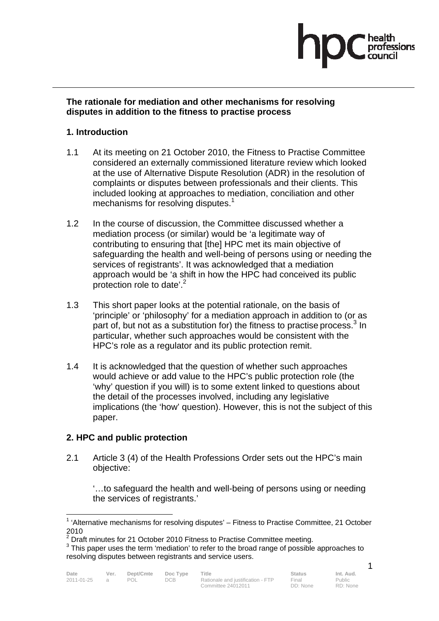# essions

#### **The rationale for mediation and other mechanisms for resolving disputes in addition to the fitness to practise process**

#### **1. Introduction**

- 1.1 At its meeting on 21 October 2010, the Fitness to Practise Committee considered an externally commissioned literature review which looked at the use of Alternative Dispute Resolution (ADR) in the resolution of complaints or disputes between professionals and their clients. This included looking at approaches to mediation, conciliation and other mechanisms for resolving disputes. $1$
- 1.2 In the course of discussion, the Committee discussed whether a mediation process (or similar) would be 'a legitimate way of contributing to ensuring that [the] HPC met its main objective of safeguarding the health and well-being of persons using or needing the services of registrants'. It was acknowledged that a mediation approach would be 'a shift in how the HPC had conceived its public protection role to date'.<sup>2</sup>
- 1.3 This short paper looks at the potential rationale, on the basis of 'principle' or 'philosophy' for a mediation approach in addition to (or as part of, but not as a substitution for) the fitness to practise process. $3$  In particular, whether such approaches would be consistent with the HPC's role as a regulator and its public protection remit.
- 1.4 It is acknowledged that the question of whether such approaches would achieve or add value to the HPC's public protection role (the 'why' question if you will) is to some extent linked to questions about the detail of the processes involved, including any legislative implications (the 'how' question). However, this is not the subject of this paper.

#### **2. HPC and public protection**

2.1 Article 3 (4) of the Health Professions Order sets out the HPC's main objective:

'…to safeguard the health and well-being of persons using or needing the services of registrants.'

 $\overline{a}$ 

Public RD: None

 $1$  'Alternative mechanisms for resolving disputes'  $-$  Fitness to Practise Committee, 21 October 2010

 $2$  Draft minutes for 21 October 2010 Fitness to Practise Committee meeting.

 $3$  This paper uses the term 'mediation' to refer to the broad range of possible approaches to resolving disputes between registrants and service users.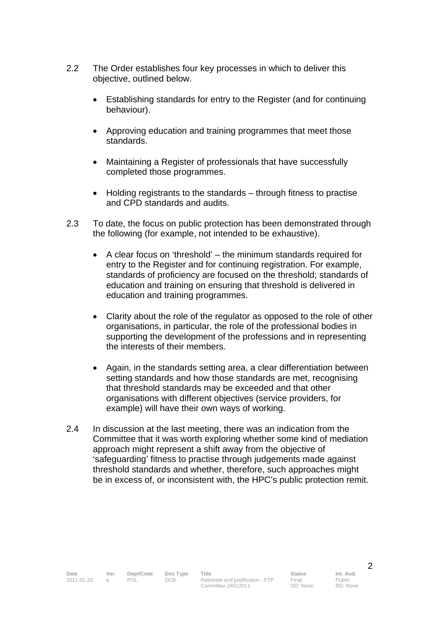- 2.2 The Order establishes four key processes in which to deliver this objective, outlined below.
	- Establishing standards for entry to the Register (and for continuing behaviour).
	- Approving education and training programmes that meet those standards.
	- Maintaining a Register of professionals that have successfully completed those programmes.
	- Holding registrants to the standards through fitness to practise and CPD standards and audits.
- 2.3 To date, the focus on public protection has been demonstrated through the following (for example, not intended to be exhaustive).
	- A clear focus on 'threshold' the minimum standards required for entry to the Register and for continuing registration. For example, standards of proficiency are focused on the threshold; standards of education and training on ensuring that threshold is delivered in education and training programmes.
	- Clarity about the role of the regulator as opposed to the role of other organisations, in particular, the role of the professional bodies in supporting the development of the professions and in representing the interests of their members.
	- Again, in the standards setting area, a clear differentiation between setting standards and how those standards are met, recognising that threshold standards may be exceeded and that other organisations with different objectives (service providers, for example) will have their own ways of working.
- 2.4 In discussion at the last meeting, there was an indication from the Committee that it was worth exploring whether some kind of mediation approach might represent a shift away from the objective of 'safeguarding' fitness to practise through judgements made against threshold standards and whether, therefore, such approaches might be in excess of, or inconsistent with, the HPC's public protection remit.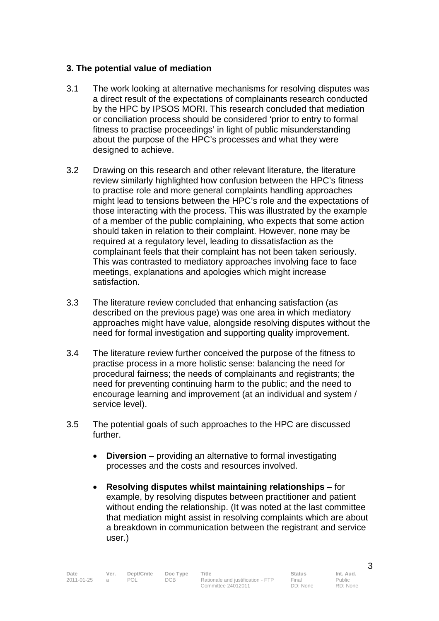#### **3. The potential value of mediation**

- 3.1 The work looking at alternative mechanisms for resolving disputes was a direct result of the expectations of complainants research conducted by the HPC by IPSOS MORI. This research concluded that mediation or conciliation process should be considered 'prior to entry to formal fitness to practise proceedings' in light of public misunderstanding about the purpose of the HPC's processes and what they were designed to achieve.
- 3.2 Drawing on this research and other relevant literature, the literature review similarly highlighted how confusion between the HPC's fitness to practise role and more general complaints handling approaches might lead to tensions between the HPC's role and the expectations of those interacting with the process. This was illustrated by the example of a member of the public complaining, who expects that some action should taken in relation to their complaint. However, none may be required at a regulatory level, leading to dissatisfaction as the complainant feels that their complaint has not been taken seriously. This was contrasted to mediatory approaches involving face to face meetings, explanations and apologies which might increase satisfaction.
- 3.3 The literature review concluded that enhancing satisfaction (as described on the previous page) was one area in which mediatory approaches might have value, alongside resolving disputes without the need for formal investigation and supporting quality improvement.
- 3.4 The literature review further conceived the purpose of the fitness to practise process in a more holistic sense: balancing the need for procedural fairness; the needs of complainants and registrants; the need for preventing continuing harm to the public; and the need to encourage learning and improvement (at an individual and system / service level).
- 3.5 The potential goals of such approaches to the HPC are discussed further.
	- **Diversion** providing an alternative to formal investigating processes and the costs and resources involved.
	- **Resolving disputes whilst maintaining relationships** for example, by resolving disputes between practitioner and patient without ending the relationship. (It was noted at the last committee that mediation might assist in resolving complaints which are about a breakdown in communication between the registrant and service user.)

3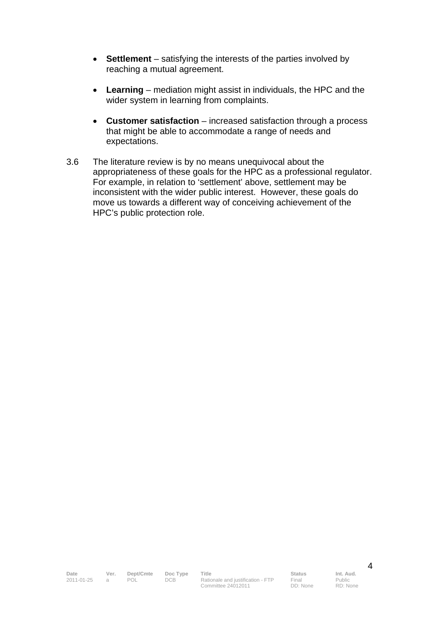- **Settlement** satisfying the interests of the parties involved by reaching a mutual agreement.
- **Learning** mediation might assist in individuals, the HPC and the wider system in learning from complaints.
- **Customer satisfaction** increased satisfaction through a process that might be able to accommodate a range of needs and expectations.
- 3.6 The literature review is by no means unequivocal about the appropriateness of these goals for the HPC as a professional regulator. For example, in relation to 'settlement' above, settlement may be inconsistent with the wider public interest. However, these goals do move us towards a different way of conceiving achievement of the HPC's public protection role.

Public RD: None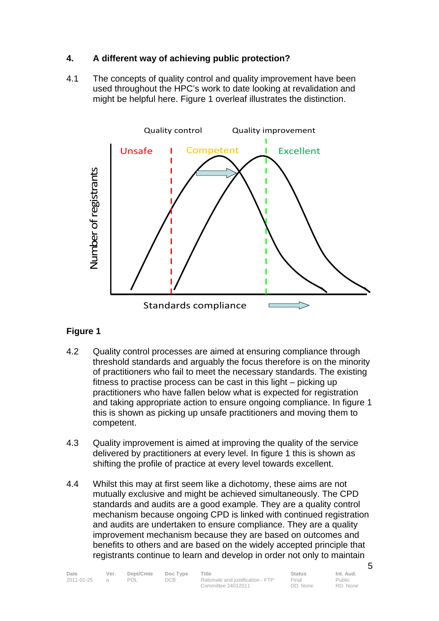#### **4. A different way of achieving public protection?**

4.1 The concepts of quality control and quality improvement have been used throughout the HPC's work to date looking at revalidation and might be helpful here. Figure 1 overleaf illustrates the distinction.



#### **Figure 1**

- 4.2 Quality control processes are aimed at ensuring compliance through threshold standards and arguably the focus therefore is on the minority of practitioners who fail to meet the necessary standards. The existing fitness to practise process can be cast in this light – picking up practitioners who have fallen below what is expected for registration and taking appropriate action to ensure ongoing compliance. In figure 1 this is shown as picking up unsafe practitioners and moving them to competent.
- 4.3 Quality improvement is aimed at improving the quality of the service delivered by practitioners at every level. In figure 1 this is shown as shifting the profile of practice at every level towards excellent.
- 4.4 Whilst this may at first seem like a dichotomy, these aims are not mutually exclusive and might be achieved simultaneously. The CPD standards and audits are a good example. They are a quality control mechanism because ongoing CPD is linked with continued registration and audits are undertaken to ensure compliance. They are a quality improvement mechanism because they are based on outcomes and benefits to others and are based on the widely accepted principle that registrants continue to learn and develop in order not only to maintain

| Date       | Ver. | Dept/Cmte | Doc Type | Title                             | Status   | Int. Aud. |
|------------|------|-----------|----------|-----------------------------------|----------|-----------|
| 2011-01-25 |      | POL       | DCB.     | Rationale and justification - FTP | Final    | Public    |
|            |      |           |          | Committee 24012011                | DD: None | RD: None  |

5

Public RD: None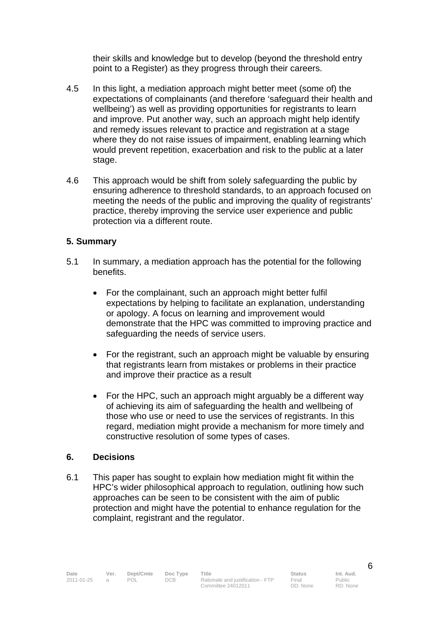their skills and knowledge but to develop (beyond the threshold entry point to a Register) as they progress through their careers.

- 4.5 In this light, a mediation approach might better meet (some of) the expectations of complainants (and therefore 'safeguard their health and wellbeing') as well as providing opportunities for registrants to learn and improve. Put another way, such an approach might help identify and remedy issues relevant to practice and registration at a stage where they do not raise issues of impairment, enabling learning which would prevent repetition, exacerbation and risk to the public at a later stage.
- 4.6 This approach would be shift from solely safeguarding the public by ensuring adherence to threshold standards, to an approach focused on meeting the needs of the public and improving the quality of registrants' practice, thereby improving the service user experience and public protection via a different route.

#### **5. Summary**

- 5.1 In summary, a mediation approach has the potential for the following benefits.
	- For the complainant, such an approach might better fulfil expectations by helping to facilitate an explanation, understanding or apology. A focus on learning and improvement would demonstrate that the HPC was committed to improving practice and safeguarding the needs of service users.
	- For the registrant, such an approach might be valuable by ensuring that registrants learn from mistakes or problems in their practice and improve their practice as a result
	- For the HPC, such an approach might arguably be a different way of achieving its aim of safeguarding the health and wellbeing of those who use or need to use the services of registrants. In this regard, mediation might provide a mechanism for more timely and constructive resolution of some types of cases.

#### **6. Decisions**

6.1 This paper has sought to explain how mediation might fit within the HPC's wider philosophical approach to regulation, outlining how such approaches can be seen to be consistent with the aim of public protection and might have the potential to enhance regulation for the complaint, registrant and the regulator.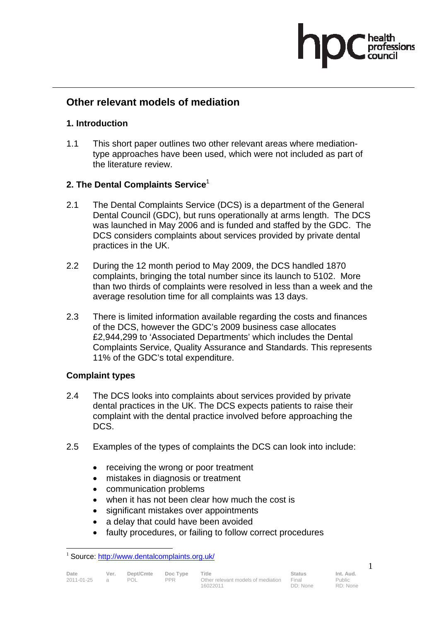## fessions

#### **Other relevant models of mediation**

#### **1. Introduction**

1.1 This short paper outlines two other relevant areas where mediationtype approaches have been used, which were not included as part of the literature review.

#### **2. The Dental Complaints Service**<sup>1</sup>

- 2.1 The Dental Complaints Service (DCS) is a department of the General Dental Council (GDC), but runs operationally at arms length. The DCS was launched in May 2006 and is funded and staffed by the GDC. The DCS considers complaints about services provided by private dental practices in the UK.
- 2.2 During the 12 month period to May 2009, the DCS handled 1870 complaints, bringing the total number since its launch to 5102. More than two thirds of complaints were resolved in less than a week and the average resolution time for all complaints was 13 days.
- 2.3 There is limited information available regarding the costs and finances of the DCS, however the GDC's 2009 business case allocates £2,944,299 to 'Associated Departments' which includes the Dental Complaints Service, Quality Assurance and Standards. This represents 11% of the GDC's total expenditure.

#### **Complaint types**

- 2.4 The DCS looks into complaints about services provided by private dental practices in the UK. The DCS expects patients to raise their complaint with the dental practice involved before approaching the DCS.
- 2.5 Examples of the types of complaints the DCS can look into include:
	- receiving the wrong or poor treatment
	- mistakes in diagnosis or treatment
	- communication problems
	- when it has not been clear how much the cost is
	- significant mistakes over appointments
	- a delay that could have been avoided
	- faulty procedures, or failing to follow correct procedures

1

 $\overline{a}$ <sup>1</sup> Source: http://www.dentalcomplaints.org.uk/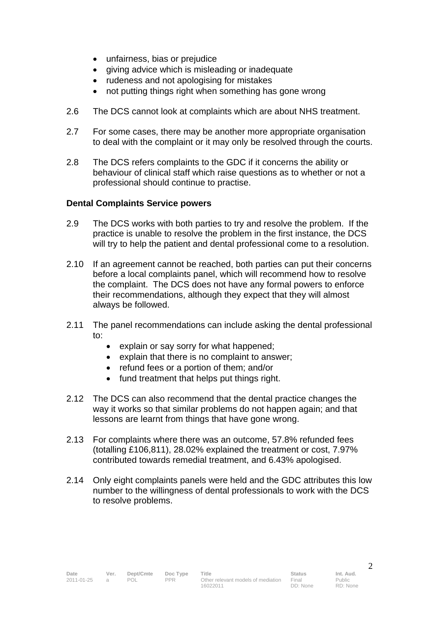- unfairness, bias or prejudice
- giving advice which is misleading or inadequate
- rudeness and not apologising for mistakes
- not putting things right when something has gone wrong
- 2.6 The DCS cannot look at complaints which are about NHS treatment.
- 2.7 For some cases, there may be another more appropriate organisation to deal with the complaint or it may only be resolved through the courts.
- 2.8 The DCS refers complaints to the GDC if it concerns the ability or behaviour of clinical staff which raise questions as to whether or not a professional should continue to practise.

#### **Dental Complaints Service powers**

- 2.9 The DCS works with both parties to try and resolve the problem. If the practice is unable to resolve the problem in the first instance, the DCS will try to help the patient and dental professional come to a resolution.
- 2.10 If an agreement cannot be reached, both parties can put their concerns before a local complaints panel, which will recommend how to resolve the complaint. The DCS does not have any formal powers to enforce their recommendations, although they expect that they will almost always be followed.
- 2.11 The panel recommendations can include asking the dental professional to:
	- explain or say sorry for what happened;
	- explain that there is no complaint to answer;
	- refund fees or a portion of them; and/or
	- fund treatment that helps put things right.
- 2.12 The DCS can also recommend that the dental practice changes the way it works so that similar problems do not happen again; and that lessons are learnt from things that have gone wrong.
- 2.13 For complaints where there was an outcome, 57.8% refunded fees (totalling £106,811), 28.02% explained the treatment or cost, 7.97% contributed towards remedial treatment, and 6.43% apologised.
- 2.14 Only eight complaints panels were held and the GDC attributes this low number to the willingness of dental professionals to work with the DCS to resolve problems.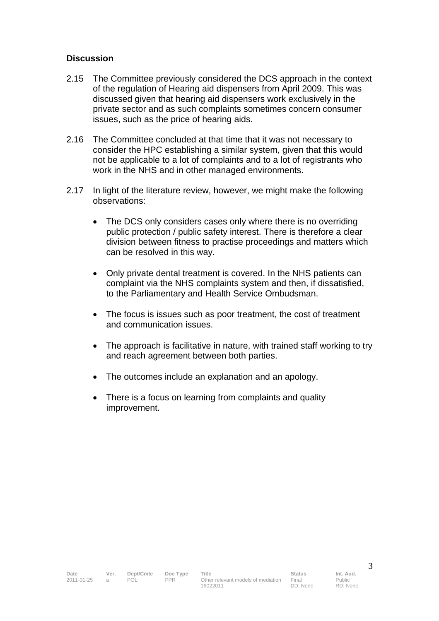#### **Discussion**

- 2.15 The Committee previously considered the DCS approach in the context of the regulation of Hearing aid dispensers from April 2009. This was discussed given that hearing aid dispensers work exclusively in the private sector and as such complaints sometimes concern consumer issues, such as the price of hearing aids.
- 2.16 The Committee concluded at that time that it was not necessary to consider the HPC establishing a similar system, given that this would not be applicable to a lot of complaints and to a lot of registrants who work in the NHS and in other managed environments.
- 2.17 In light of the literature review, however, we might make the following observations:
	- The DCS only considers cases only where there is no overriding public protection / public safety interest. There is therefore a clear division between fitness to practise proceedings and matters which can be resolved in this way.
	- Only private dental treatment is covered. In the NHS patients can complaint via the NHS complaints system and then, if dissatisfied, to the Parliamentary and Health Service Ombudsman.
	- The focus is issues such as poor treatment, the cost of treatment and communication issues.
	- The approach is facilitative in nature, with trained staff working to try and reach agreement between both parties.
	- The outcomes include an explanation and an apology.
	- There is a focus on learning from complaints and quality improvement.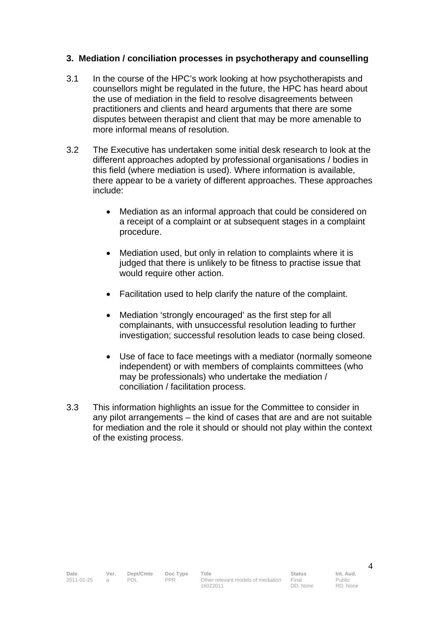#### **3. Mediation / conciliation processes in psychotherapy and counselling**

- 3.1 In the course of the HPC's work looking at how psychotherapists and counsellors might be regulated in the future, the HPC has heard about the use of mediation in the field to resolve disagreements between practitioners and clients and heard arguments that there are some disputes between therapist and client that may be more amenable to more informal means of resolution.
- 3.2 The Executive has undertaken some initial desk research to look at the different approaches adopted by professional organisations / bodies in this field (where mediation is used). Where information is available, there appear to be a variety of different approaches. These approaches include:
	- Mediation as an informal approach that could be considered on a receipt of a complaint or at subsequent stages in a complaint procedure.
	- Mediation used, but only in relation to complaints where it is judged that there is unlikely to be fitness to practise issue that would require other action.
	- Facilitation used to help clarify the nature of the complaint.
	- Mediation 'strongly encouraged' as the first step for all complainants, with unsuccessful resolution leading to further investigation; successful resolution leads to case being closed.
	- Use of face to face meetings with a mediator (normally someone independent) or with members of complaints committees (who may be professionals) who undertake the mediation / conciliation / facilitation process.
- 3.3 This information highlights an issue for the Committee to consider in any pilot arrangements – the kind of cases that are and are not suitable for mediation and the role it should or should not play within the context of the existing process.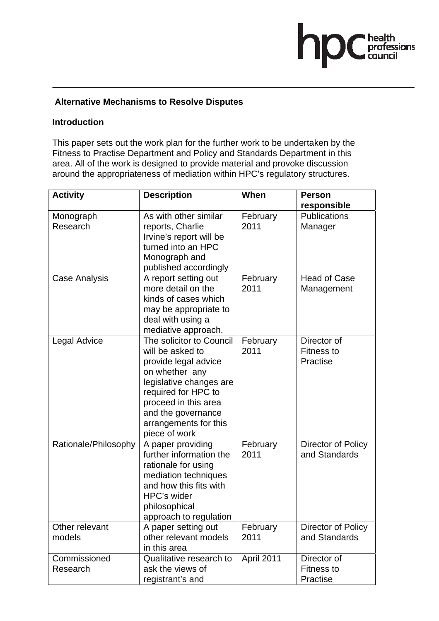### ■ health<br>professions<br>■ council hr

#### **Alternative Mechanisms to Resolve Disputes**

#### **Introduction**

This paper sets out the work plan for the further work to be undertaken by the Fitness to Practise Department and Policy and Standards Department in this area. All of the work is designed to provide material and provoke discussion around the appropriateness of mediation within HPC's regulatory structures.

| <b>Activity</b>          | <b>Description</b>                                                                                                                                                                                                               | When             | <b>Person</b>                                |
|--------------------------|----------------------------------------------------------------------------------------------------------------------------------------------------------------------------------------------------------------------------------|------------------|----------------------------------------------|
|                          |                                                                                                                                                                                                                                  |                  | responsible                                  |
| Monograph<br>Research    | As with other similar<br>reports, Charlie<br>Irvine's report will be<br>turned into an HPC<br>Monograph and<br>published accordingly                                                                                             | February<br>2011 | <b>Publications</b><br>Manager               |
| Case Analysis            | A report setting out<br>more detail on the<br>kinds of cases which<br>may be appropriate to<br>deal with using a<br>mediative approach.                                                                                          | February<br>2011 | <b>Head of Case</b><br>Management            |
| <b>Legal Advice</b>      | The solicitor to Council<br>will be asked to<br>provide legal advice<br>on whether any<br>legislative changes are<br>required for HPC to<br>proceed in this area<br>and the governance<br>arrangements for this<br>piece of work | February<br>2011 | Director of<br><b>Fitness to</b><br>Practise |
| Rationale/Philosophy     | A paper providing<br>further information the<br>rationale for using<br>mediation techniques<br>and how this fits with<br>HPC's wider<br>philosophical<br>approach to regulation                                                  | February<br>2011 | Director of Policy<br>and Standards          |
| Other relevant<br>models | A paper setting out<br>other relevant models<br>in this area                                                                                                                                                                     | February<br>2011 | Director of Policy<br>and Standards          |
| Commissioned<br>Research | Qualitative research to<br>ask the views of<br>registrant's and                                                                                                                                                                  | April 2011       | Director of<br><b>Fitness to</b><br>Practise |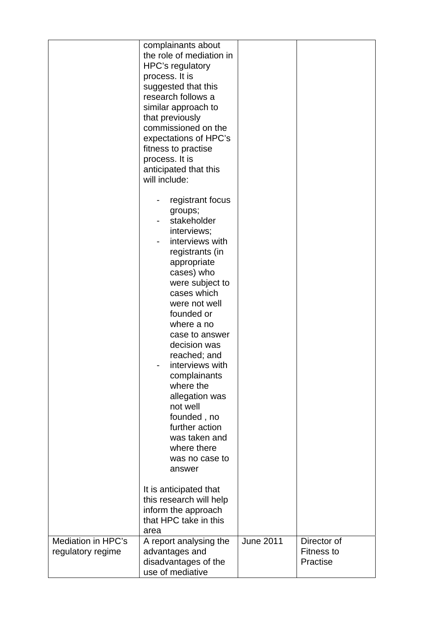|                                         | complainants about<br>the role of mediation in<br>HPC's regulatory<br>process. It is<br>suggested that this<br>research follows a<br>similar approach to<br>that previously<br>commissioned on the<br>expectations of HPC's<br>fitness to practise<br>process. It is<br>anticipated that this<br>will include:                                                                                                                                                     |                  |                                              |
|-----------------------------------------|--------------------------------------------------------------------------------------------------------------------------------------------------------------------------------------------------------------------------------------------------------------------------------------------------------------------------------------------------------------------------------------------------------------------------------------------------------------------|------------------|----------------------------------------------|
|                                         | registrant focus<br>groups;<br>stakeholder<br>interviews;<br>interviews with<br>registrants (in<br>appropriate<br>cases) who<br>were subject to<br>cases which<br>were not well<br>founded or<br>where a no<br>case to answer<br>decision was<br>reached; and<br>interviews with<br>complainants<br>where the<br>allegation was<br>not well<br>founded, no<br>further action<br>was taken and<br>where there<br>was no case to<br>answer<br>It is anticipated that |                  |                                              |
|                                         | this research will help<br>inform the approach<br>that HPC take in this<br>area                                                                                                                                                                                                                                                                                                                                                                                    |                  |                                              |
| Mediation in HPC's<br>regulatory regime | A report analysing the<br>advantages and<br>disadvantages of the<br>use of mediative                                                                                                                                                                                                                                                                                                                                                                               | <b>June 2011</b> | Director of<br><b>Fitness to</b><br>Practise |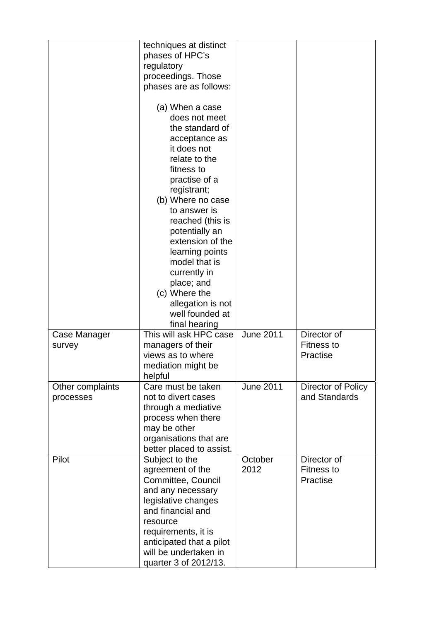|                               | techniques at distinct<br>phases of HPC's<br>regulatory<br>proceedings. Those<br>phases are as follows:                                                                                                                                                                                                             |                  |                                              |
|-------------------------------|---------------------------------------------------------------------------------------------------------------------------------------------------------------------------------------------------------------------------------------------------------------------------------------------------------------------|------------------|----------------------------------------------|
|                               | (a) When a case<br>does not meet<br>the standard of<br>acceptance as<br>it does not<br>relate to the<br>fitness to<br>practise of a<br>registrant;<br>(b) Where no case<br>to answer is<br>reached (this is<br>potentially an<br>extension of the<br>learning points<br>model that is<br>currently in<br>place; and |                  |                                              |
|                               | (c) Where the                                                                                                                                                                                                                                                                                                       |                  |                                              |
|                               | allegation is not<br>well founded at<br>final hearing                                                                                                                                                                                                                                                               |                  |                                              |
| Case Manager<br>survey        | This will ask HPC case<br>managers of their<br>views as to where<br>mediation might be<br>helpful                                                                                                                                                                                                                   | <b>June 2011</b> | Director of<br><b>Fitness to</b><br>Practise |
| Other complaints<br>processes | Care must be taken<br>not to divert cases<br>through a mediative<br>process when there<br>may be other<br>organisations that are<br>better placed to assist.                                                                                                                                                        | <b>June 2011</b> | Director of Policy<br>and Standards          |
| Pilot                         | Subject to the<br>agreement of the<br>Committee, Council<br>and any necessary<br>legislative changes<br>and financial and<br>resource<br>requirements, it is<br>anticipated that a pilot<br>will be undertaken in<br>quarter 3 of 2012/13.                                                                          | October<br>2012  | Director of<br><b>Fitness to</b><br>Practise |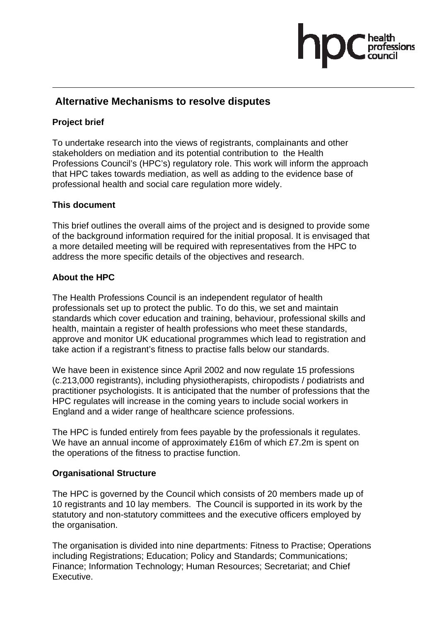#### **Alternative Mechanisms to resolve disputes**

#### **Project brief**

To undertake research into the views of registrants, complainants and other stakeholders on mediation and its potential contribution to the Health Professions Council's (HPC's) regulatory role. This work will inform the approach that HPC takes towards mediation, as well as adding to the evidence base of professional health and social care regulation more widely.

#### **This document**

This brief outlines the overall aims of the project and is designed to provide some of the background information required for the initial proposal. It is envisaged that a more detailed meeting will be required with representatives from the HPC to address the more specific details of the objectives and research.

#### **About the HPC**

The Health Professions Council is an independent regulator of health professionals set up to protect the public. To do this, we set and maintain standards which cover education and training, behaviour, professional skills and health, maintain a register of health professions who meet these standards, approve and monitor UK educational programmes which lead to registration and take action if a registrant's fitness to practise falls below our standards.

We have been in existence since April 2002 and now regulate 15 professions (c.213,000 registrants), including physiotherapists, chiropodists / podiatrists and practitioner psychologists. It is anticipated that the number of professions that the HPC regulates will increase in the coming years to include social workers in England and a wider range of healthcare science professions.

The HPC is funded entirely from fees payable by the professionals it regulates. We have an annual income of approximately £16m of which £7.2m is spent on the operations of the fitness to practise function.

#### **Organisational Structure**

The HPC is governed by the Council which consists of 20 members made up of 10 registrants and 10 lay members. The Council is supported in its work by the statutory and non-statutory committees and the executive officers employed by the organisation.

The organisation is divided into nine departments: Fitness to Practise; Operations including Registrations; Education; Policy and Standards; Communications; Finance; Information Technology; Human Resources; Secretariat; and Chief Executive.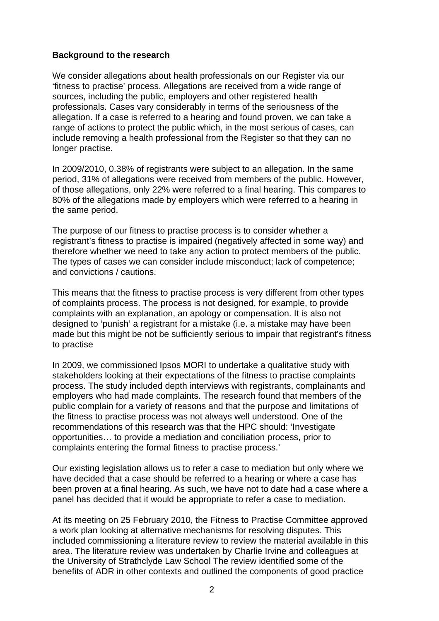#### **Background to the research**

We consider allegations about health professionals on our Register via our 'fitness to practise' process. Allegations are received from a wide range of sources, including the public, employers and other registered health professionals. Cases vary considerably in terms of the seriousness of the allegation. If a case is referred to a hearing and found proven, we can take a range of actions to protect the public which, in the most serious of cases, can include removing a health professional from the Register so that they can no longer practise.

In 2009/2010, 0.38% of registrants were subject to an allegation. In the same period, 31% of allegations were received from members of the public. However, of those allegations, only 22% were referred to a final hearing. This compares to 80% of the allegations made by employers which were referred to a hearing in the same period.

The purpose of our fitness to practise process is to consider whether a registrant's fitness to practise is impaired (negatively affected in some way) and therefore whether we need to take any action to protect members of the public. The types of cases we can consider include misconduct; lack of competence; and convictions / cautions.

This means that the fitness to practise process is very different from other types of complaints process. The process is not designed, for example, to provide complaints with an explanation, an apology or compensation. It is also not designed to 'punish' a registrant for a mistake (i.e. a mistake may have been made but this might be not be sufficiently serious to impair that registrant's fitness to practise

In 2009, we commissioned Ipsos MORI to undertake a qualitative study with stakeholders looking at their expectations of the fitness to practise complaints process. The study included depth interviews with registrants, complainants and employers who had made complaints. The research found that members of the public complain for a variety of reasons and that the purpose and limitations of the fitness to practise process was not always well understood. One of the recommendations of this research was that the HPC should: 'Investigate opportunities… to provide a mediation and conciliation process, prior to complaints entering the formal fitness to practise process.'

Our existing legislation allows us to refer a case to mediation but only where we have decided that a case should be referred to a hearing or where a case has been proven at a final hearing. As such, we have not to date had a case where a panel has decided that it would be appropriate to refer a case to mediation.

At its meeting on 25 February 2010, the Fitness to Practise Committee approved a work plan looking at alternative mechanisms for resolving disputes. This included commissioning a literature review to review the material available in this area. The literature review was undertaken by Charlie Irvine and colleagues at the University of Strathclyde Law School The review identified some of the benefits of ADR in other contexts and outlined the components of good practice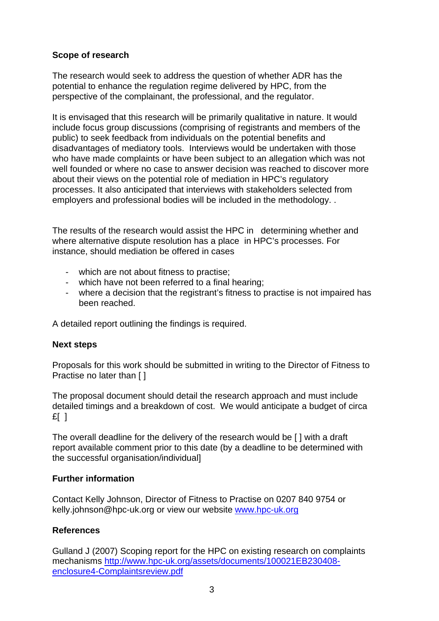#### **Scope of research**

The research would seek to address the question of whether ADR has the potential to enhance the regulation regime delivered by HPC, from the perspective of the complainant, the professional, and the regulator.

It is envisaged that this research will be primarily qualitative in nature. It would include focus group discussions (comprising of registrants and members of the public) to seek feedback from individuals on the potential benefits and disadvantages of mediatory tools. Interviews would be undertaken with those who have made complaints or have been subject to an allegation which was not well founded or where no case to answer decision was reached to discover more about their views on the potential role of mediation in HPC's regulatory processes. It also anticipated that interviews with stakeholders selected from employers and professional bodies will be included in the methodology. .

The results of the research would assist the HPC in determining whether and where alternative dispute resolution has a place in HPC's processes. For instance, should mediation be offered in cases

- which are not about fitness to practise;
- which have not been referred to a final hearing;
- where a decision that the registrant's fitness to practise is not impaired has been reached.

A detailed report outlining the findings is required.

#### **Next steps**

Proposals for this work should be submitted in writing to the Director of Fitness to Practise no later than [ ]

The proposal document should detail the research approach and must include detailed timings and a breakdown of cost. We would anticipate a budget of circa  $E$ [ ]

The overall deadline for the delivery of the research would be [ ] with a draft report available comment prior to this date (by a deadline to be determined with the successful organisation/individual]

#### **Further information**

Contact Kelly Johnson, Director of Fitness to Practise on 0207 840 9754 or kelly.johnson@hpc-uk.org or view our website www.hpc-uk.org

#### **References**

Gulland J (2007) Scoping report for the HPC on existing research on complaints mechanisms http://www.hpc-uk.org/assets/documents/100021EB230408 enclosure4-Complaintsreview.pdf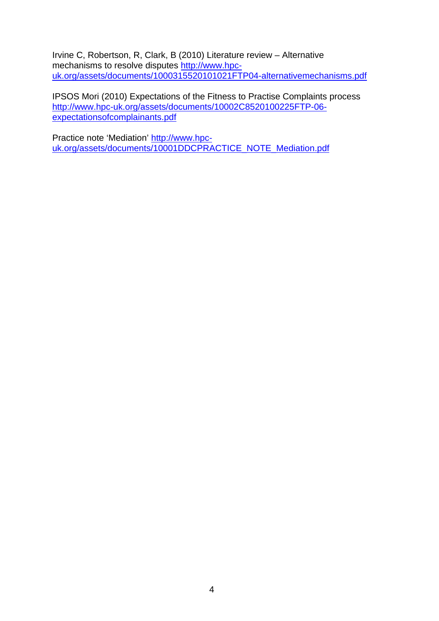Irvine C, Robertson, R, Clark, B (2010) Literature review – Alternative mechanisms to resolve disputes http://www.hpcuk.org/assets/documents/1000315520101021FTP04-alternativemechanisms.pdf

IPSOS Mori (2010) Expectations of the Fitness to Practise Complaints process http://www.hpc-uk.org/assets/documents/10002C8520100225FTP-06 expectationsofcomplainants.pdf

Practice note 'Mediation' http://www.hpcuk.org/assets/documents/10001DDCPRACTICE\_NOTE\_Mediation.pdf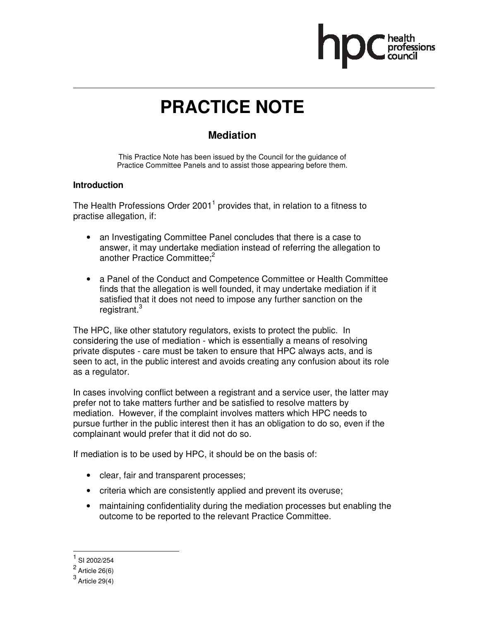

### **PRACTICE NOTE**

#### **Mediation**

This Practice Note has been issued by the Council for the guidance of Practice Committee Panels and to assist those appearing before them.

#### **Introduction**

The Health Professions Order 2001<sup>1</sup> provides that, in relation to a fitness to practise allegation, if:

- an Investigating Committee Panel concludes that there is a case to answer, it may undertake mediation instead of referring the allegation to another Practice Committee;<sup>2</sup>
- a Panel of the Conduct and Competence Committee or Health Committee finds that the allegation is well founded, it may undertake mediation if it satisfied that it does not need to impose any further sanction on the registrant.<sup>3</sup>

The HPC, like other statutory regulators, exists to protect the public. In considering the use of mediation - which is essentially a means of resolving private disputes - care must be taken to ensure that HPC always acts, and is seen to act, in the public interest and avoids creating any confusion about its role as a regulator.

In cases involving conflict between a registrant and a service user, the latter may prefer not to take matters further and be satisfied to resolve matters by mediation. However, if the complaint involves matters which HPC needs to pursue further in the public interest then it has an obligation to do so, even if the complainant would prefer that it did not do so.

If mediation is to be used by HPC, it should be on the basis of:

- clear, fair and transparent processes;
- criteria which are consistently applied and prevent its overuse;
- maintaining confidentiality during the mediation processes but enabling the outcome to be reported to the relevant Practice Committee.

.

<sup>1</sup> SI 2002/254

 $2$  Article 26(6)

 $^3$  Article 29(4)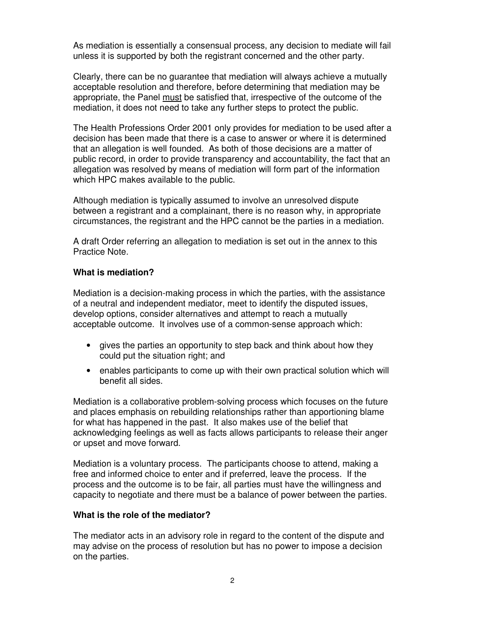As mediation is essentially a consensual process, any decision to mediate will fail unless it is supported by both the registrant concerned and the other party.

Clearly, there can be no guarantee that mediation will always achieve a mutually acceptable resolution and therefore, before determining that mediation may be appropriate, the Panel must be satisfied that, irrespective of the outcome of the mediation, it does not need to take any further steps to protect the public.

The Health Professions Order 2001 only provides for mediation to be used after a decision has been made that there is a case to answer or where it is determined that an allegation is well founded. As both of those decisions are a matter of public record, in order to provide transparency and accountability, the fact that an allegation was resolved by means of mediation will form part of the information which HPC makes available to the public.

Although mediation is typically assumed to involve an unresolved dispute between a registrant and a complainant, there is no reason why, in appropriate circumstances, the registrant and the HPC cannot be the parties in a mediation.

A draft Order referring an allegation to mediation is set out in the annex to this Practice Note.

#### **What is mediation?**

Mediation is a decision-making process in which the parties, with the assistance of a neutral and independent mediator, meet to identify the disputed issues, develop options, consider alternatives and attempt to reach a mutually acceptable outcome. It involves use of a common-sense approach which:

- gives the parties an opportunity to step back and think about how they could put the situation right; and
- enables participants to come up with their own practical solution which will benefit all sides.

Mediation is a collaborative problem-solving process which focuses on the future and places emphasis on rebuilding relationships rather than apportioning blame for what has happened in the past. It also makes use of the belief that acknowledging feelings as well as facts allows participants to release their anger or upset and move forward.

Mediation is a voluntary process. The participants choose to attend, making a free and informed choice to enter and if preferred, leave the process. If the process and the outcome is to be fair, all parties must have the willingness and capacity to negotiate and there must be a balance of power between the parties.

#### **What is the role of the mediator?**

The mediator acts in an advisory role in regard to the content of the dispute and may advise on the process of resolution but has no power to impose a decision on the parties.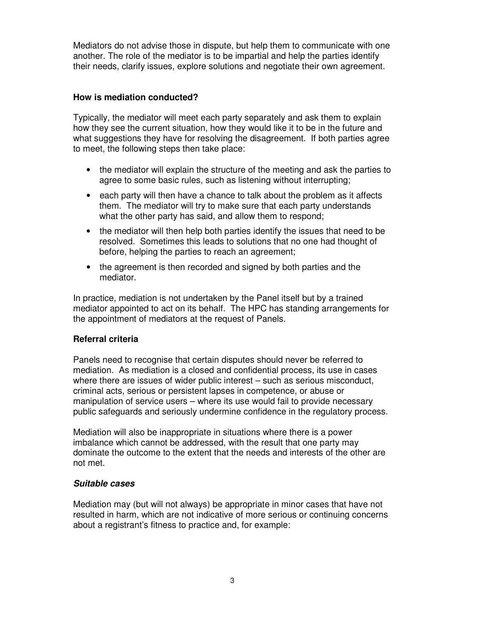Mediators do not advise those in dispute, but help them to communicate with one another. The role of the mediator is to be impartial and help the parties identify their needs, clarify issues, explore solutions and negotiate their own agreement.

#### **How is mediation conducted?**

Typically, the mediator will meet each party separately and ask them to explain how they see the current situation, how they would like it to be in the future and what suggestions they have for resolving the disagreement. If both parties agree to meet, the following steps then take place:

- the mediator will explain the structure of the meeting and ask the parties to agree to some basic rules, such as listening without interrupting;
- each party will then have a chance to talk about the problem as it affects them. The mediator will try to make sure that each party understands what the other party has said, and allow them to respond;
- the mediator will then help both parties identify the issues that need to be resolved. Sometimes this leads to solutions that no one had thought of before, helping the parties to reach an agreement;
- the agreement is then recorded and signed by both parties and the mediator.

In practice, mediation is not undertaken by the Panel itself but by a trained mediator appointed to act on its behalf. The HPC has standing arrangements for the appointment of mediators at the request of Panels.

#### **Referral criteria**

Panels need to recognise that certain disputes should never be referred to mediation. As mediation is a closed and confidential process, its use in cases where there are issues of wider public interest – such as serious misconduct, criminal acts, serious or persistent lapses in competence, or abuse or manipulation of service users – where its use would fail to provide necessary public safeguards and seriously undermine confidence in the regulatory process.

Mediation will also be inappropriate in situations where there is a power imbalance which cannot be addressed, with the result that one party may dominate the outcome to the extent that the needs and interests of the other are not met.

#### **Suitable cases**

Mediation may (but will not always) be appropriate in minor cases that have not resulted in harm, which are not indicative of more serious or continuing concerns about a registrant's fitness to practice and, for example: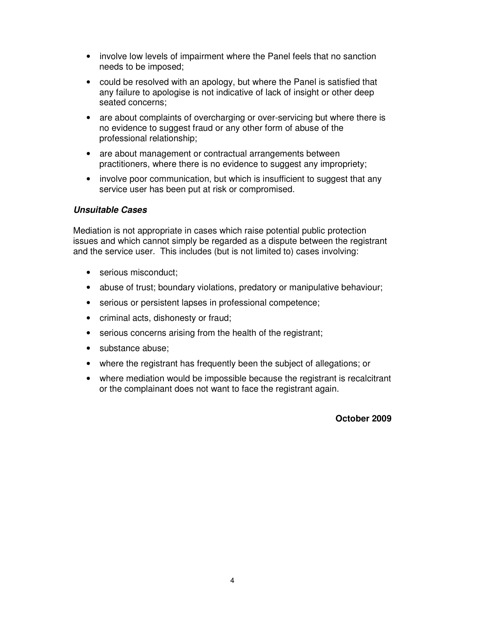- involve low levels of impairment where the Panel feels that no sanction needs to be imposed;
- could be resolved with an apology, but where the Panel is satisfied that any failure to apologise is not indicative of lack of insight or other deep seated concerns;
- are about complaints of overcharging or over-servicing but where there is no evidence to suggest fraud or any other form of abuse of the professional relationship;
- are about management or contractual arrangements between practitioners, where there is no evidence to suggest any impropriety;
- involve poor communication, but which is insufficient to suggest that any service user has been put at risk or compromised.

#### **Unsuitable Cases**

Mediation is not appropriate in cases which raise potential public protection issues and which cannot simply be regarded as a dispute between the registrant and the service user. This includes (but is not limited to) cases involving:

- serious misconduct;
- abuse of trust; boundary violations, predatory or manipulative behaviour;
- serious or persistent lapses in professional competence;
- criminal acts, dishonesty or fraud;
- serious concerns arising from the health of the registrant;
- substance abuse:
- where the registrant has frequently been the subject of allegations; or
- where mediation would be impossible because the registrant is recalcitrant or the complainant does not want to face the registrant again.

#### **October 2009**